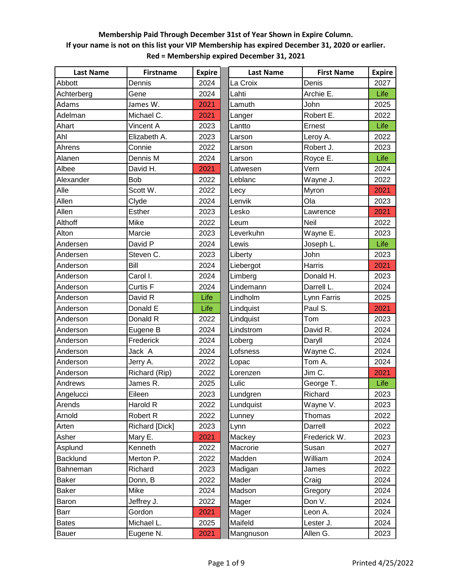| <b>Last Name</b> | <b>Firstname</b>      | <b>Expire</b> | <b>Last Name</b> | <b>First Name</b> | <b>Expire</b> |
|------------------|-----------------------|---------------|------------------|-------------------|---------------|
| Abbott           | Dennis                | 2024          | La Croix         | Denis             | 2027          |
| Achterberg       | Gene                  | 2024          | Lahti            | Archie E.         | Life          |
| Adams            | James W.              | 2021          | Lamuth           | John              | 2025          |
| Adelman          | Michael C.            | 2021          | Langer           | Robert E.         | 2022          |
| Ahart            | Vincent A             | 2023          | Lantto           | Ernest            | Life          |
| Ahl              | Elizabeth A.          | 2023          | Larson           | Leroy A.          | 2022          |
| Ahrens           | Connie                | 2022          | Larson           | Robert J.         | 2023          |
| Alanen           | Dennis M              | 2024          | Larson           | Royce E.          | Life          |
| Albee            | David H.              | 2021          | Latwesen         | Vern              | 2024          |
| Alexander        | <b>Bob</b>            | 2022          | Leblanc          | Wayne J.          | 2022          |
| Alle             | Scott W.              | 2022          | Lecy             | Myron             | 2021          |
| Allen            | Clyde                 | 2024          | Lenvik           | Ola               | 2023          |
| Allen            | Esther                | 2023          | Lesko            | Lawrence          | 2021          |
| Althoff          | Mike                  | 2022          | Leum             | Neil              | 2022          |
| Alton            | Marcie                | 2023          | Leverkuhn        | Wayne E.          | 2023          |
| Andersen         | David P               | 2024          | Lewis            | Joseph L.         | Life          |
| Andersen         | Steven C.             | 2023          | Liberty          | John              | 2023          |
| Anderson         | Bill                  | 2024          | Liebergot        | <b>Harris</b>     | 2021          |
| Anderson         | Carol I.              | 2024          | Limberg          | Donald H.         | 2023          |
| Anderson         | Curtis <sub>F</sub>   | 2024          | Lindemann        | Darrell L.        | 2024          |
| Anderson         | David R               | Life          | Lindholm         | Lynn Farris       | 2025          |
| Anderson         | Donald E              | Life          | Lindquist        | Paul S.           | 2021          |
| Anderson         | Donald R              | 2022          | Lindquist        | Tom               | 2023          |
| Anderson         | Eugene B              | 2024          | Lindstrom        | David R.          | 2024          |
| Anderson         | Frederick             | 2024          | Loberg           | Daryll            | 2024          |
| Anderson         | Jack A                | 2024          | Lofsness         | Wayne C.          | 2024          |
| Anderson         | Jerry A.              | 2022          | Lopac            | Tom A.            | 2024          |
| Anderson         | Richard (Rip)         | 2022          | Lorenzen         | Jim C.            | 2021          |
| Andrews          | James R.              | 2025          | Lulic            | George T.         | Life          |
| Angelucci        | Eileen                | 2023          | Lundgren         | Richard           | 2023          |
| Arends           | Harold R              | 2022          | Lundquist        | Wayne V.          | 2023          |
| Arnold           | Robert R              | 2022          | Lunney           | Thomas            | 2022          |
| Arten            | <b>Richard [Dick]</b> | 2023          | Lynn             | Darrell           | 2022          |
| Asher            | Mary E.               | 2021          | Mackey           | Frederick W.      | 2023          |
| Asplund          | Kenneth               | 2022          | Macrorie         | Susan             | 2027          |
| Backlund         | Merton P.             | 2022          | Madden           | William           | 2024          |
| Bahneman         | Richard               | 2023          | Madigan          | James             | 2022          |
| <b>Baker</b>     | Donn, B               | 2022          | Mader            | Craig             | 2024          |
| <b>Baker</b>     | Mike                  | 2024          | Madson           | Gregory           | 2024          |
| Baron            | Jeffrey J.            | 2022          | Mager            | Don V.            | 2024          |
| Barr             | Gordon                | 2021          | Mager            | Leon A.           | 2024          |
| <b>Bates</b>     | Michael L.            | 2025          | Maifeld          | Lester J.         | 2024          |
| Bauer            | Eugene N.             | 2021          | Mangnuson        | Allen G.          | 2023          |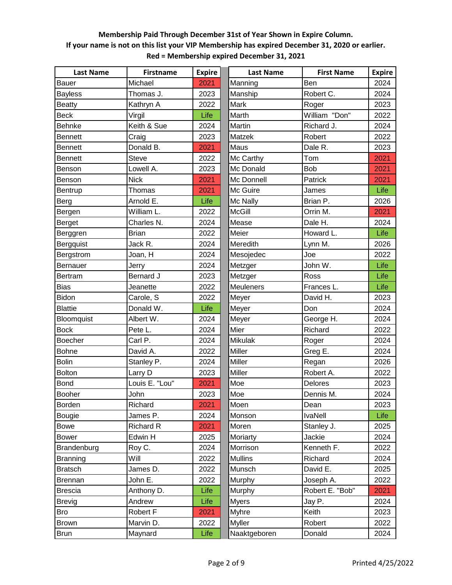| <b>Last Name</b> | <b>Firstname</b> | <b>Expire</b> | <b>Last Name</b> | <b>First Name</b> | <b>Expire</b> |
|------------------|------------------|---------------|------------------|-------------------|---------------|
| Bauer            | Michael          | 2021          | Manning          | Ben               | 2024          |
| <b>Bayless</b>   | Thomas J.        | 2023          | Manship          | Robert C.         | 2024          |
| <b>Beatty</b>    | Kathryn A        | 2022          | Mark             | Roger             | 2023          |
| <b>Beck</b>      | Virgil           | Life          | Marth            | William "Don"     | 2022          |
| Behnke           | Keith & Sue      | 2024          | Martin           | Richard J.        | 2024          |
| <b>Bennett</b>   | Craig            | 2023          | Matzek           | Robert            | 2022          |
| Bennett          | Donald B.        | 2021          | Maus             | Dale R.           | 2023          |
| Bennett          | <b>Steve</b>     | 2022          | Mc Carthy        | Tom               | 2021          |
| Benson           | Lowell A.        | 2023          | Mc Donald        | <b>Bob</b>        | 2021          |
| Benson           | <b>Nick</b>      | 2021          | Mc Donnell       | Patrick           | 2021          |
| Bentrup          | Thomas           | 2021          | Mc Guire         | James             | Life          |
| Berg             | Arnold E.        | Life          | Mc Nally         | Brian P.          | 2026          |
| Bergen           | William L.       | 2022          | <b>McGill</b>    | Orrin M.          | 2021          |
| Berget           | Charles N.       | 2024          | Mease            | Dale H.           | 2024          |
| Berggren         | <b>Brian</b>     | 2022          | Meier            | Howard L.         | Life          |
| Bergquist        | Jack R.          | 2024          | Meredith         | Lynn M.           | 2026          |
| Bergstrom        | Joan, H          | 2024          | Mesojedec        | Joe               | 2022          |
| Bernauer         | Jerry            | 2024          | Metzger          | John W.           | Life          |
| Bertram          | <b>Bernard J</b> | 2023          | Metzger          | Ross              | Life          |
| <b>Bias</b>      | Jeanette         | 2022          | <b>Meuleners</b> | Frances L.        | Life          |
| <b>Bidon</b>     | Carole, S        | 2022          | Meyer            | David H.          | 2023          |
| <b>Blattie</b>   | Donald W.        | Life          | Meyer            | Don               | 2024          |
| Bloomquist       | Albert W.        | 2024          | Meyer            | George H.         | 2024          |
| <b>Bock</b>      | Pete L.          | 2024          | Mier             | Richard           | 2022          |
| <b>Boecher</b>   | Carl P.          | 2024          | Mikulak          | Roger             | 2024          |
| <b>Bohne</b>     | David A.         | 2022          | Miller           | Greg E.           | 2024          |
| Bolin            | Stanley P.       | 2024          | Miller           | Regan             | 2026          |
| <b>Bolton</b>    | Larry D          | 2023          | Miller           | Robert A.         | 2022          |
| <b>Bond</b>      | Louis E. "Lou"   | 2021          | Moe              | Delores           | 2023          |
| Booher           | John             | 2023          | Moe              | Dennis M.         | 2024          |
| <b>Borden</b>    | Richard          | 2021          | Moen             | Dean              | 2023          |
| Bougie           | James P.         | 2024          | Monson           | <b>IvaNell</b>    | Life          |
| <b>Bowe</b>      | <b>Richard R</b> | 2021          | Moren            | Stanley J.        | 2025          |
| <b>Bower</b>     | Edwin H          | 2025          | Moriarty         | Jackie            | 2024          |
| Brandenburg      | Roy C.           | 2024          | Morrison         | Kenneth F.        | 2022          |
| <b>Branning</b>  | Will             | 2022          | <b>Mullins</b>   | Richard           | 2024          |
| <b>Bratsch</b>   | James D.         | 2022          | Munsch           | David E.          | 2025          |
| <b>Brennan</b>   | John E.          | 2022          | Murphy           | Joseph A.         | 2022          |
| <b>Brescia</b>   | Anthony D.       | Life          | Murphy           | Robert E. "Bob"   | 2021          |
| Brevig           | Andrew           | Life          | <b>Myers</b>     | Jay P.            | 2024          |
| Bro              | Robert F         | 2021          | <b>Myhre</b>     | Keith             | 2023          |
| <b>Brown</b>     | Marvin D.        | 2022          | Myller           | Robert            | 2022          |
| <b>Brun</b>      | Maynard          | Life          | Naaktgeboren     | Donald            | 2024          |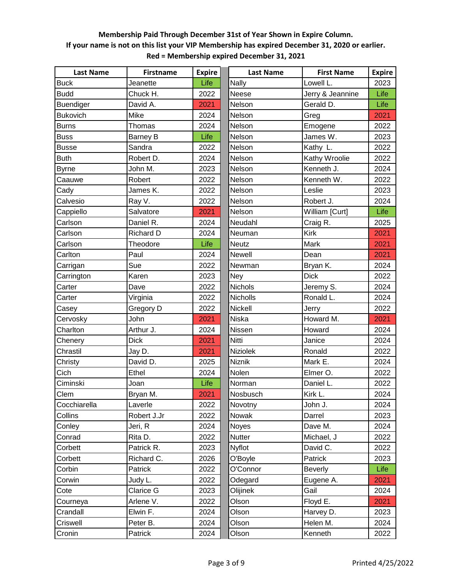| <b>Last Name</b> | <b>Firstname</b> | <b>Expire</b> | <b>Last Name</b> | <b>First Name</b> | <b>Expire</b> |
|------------------|------------------|---------------|------------------|-------------------|---------------|
| <b>Buck</b>      | Jeanette         | Life          | <b>Nally</b>     | Lowell L.         | 2023          |
| <b>Budd</b>      | Chuck H.         | 2022          | Neese            | Jerry & Jeannine  | Life          |
| <b>Buendiger</b> | David A.         | 2021          | Nelson           | Gerald D.         | Life          |
| <b>Bukovich</b>  | Mike             | 2024          | Nelson           | Greg              | 2021          |
| <b>Burns</b>     | Thomas           | 2024          | Nelson           | Emogene           | 2022          |
| <b>Buss</b>      | <b>Barney B</b>  | Life          | Nelson           | James W.          | 2023          |
| <b>Busse</b>     | Sandra           | 2022          | Nelson           | Kathy L.          | 2022          |
| <b>Buth</b>      | Robert D.        | 2024          | Nelson           | Kathy Wroolie     | 2022          |
| <b>Byrne</b>     | John M.          | 2023          | Nelson           | Kenneth J.        | 2024          |
| Caauwe           | Robert           | 2022          | Nelson           | Kenneth W.        | 2022          |
| Cady             | James K.         | 2022          | Nelson           | Leslie            | 2023          |
| Calvesio         | Ray V.           | 2022          | Nelson           | Robert J.         | 2024          |
| Cappiello        | Salvatore        | 2021          | Nelson           | William [Curt]    | Life          |
| Carlson          | Daniel R.        | 2024          | Neudahl          | Craig R.          | 2025          |
| Carlson          | Richard D        | 2024          | Neuman           | <b>Kirk</b>       | 2021          |
| Carlson          | Theodore         | Life          | <b>Neutz</b>     | Mark              | 2021          |
| Carlton          | Paul             | 2024          | <b>Newell</b>    | Dean              | 2021          |
| Carrigan         | Sue              | 2022          | Newman           | Bryan K.          | 2024          |
| Carrington       | Karen            | 2023          | Ney              | <b>Dick</b>       | 2022          |
| Carter           | Dave             | 2022          | Nichols          | Jeremy S.         | 2024          |
| Carter           | Virginia         | 2022          | Nicholls         | Ronald L.         | 2024          |
| Casey            | Gregory D        | 2022          | Nickell          | Jerry             | 2022          |
| Cervosky         | John             | 2021          | Niska            | Howard M.         | 2021          |
| Charlton         | Arthur J.        | 2024          | Nissen           | Howard            | 2024          |
| Chenery          | <b>Dick</b>      | 2021          | Nitti            | Janice            | 2024          |
| Chrastil         | Jay D.           | 2021          | <b>Niziolek</b>  | Ronald            | 2022          |
| Christy          | David D.         | 2025          | Niznik           | Mark E.           | 2024          |
| Cich             | Ethel            | 2024          | Nolen            | Elmer O.          | 2022          |
| Ciminski         | Joan             | Life          | Norman           | Daniel L.         | 2022          |
| Clem             | Bryan M.         | 2021          | Nosbusch         | Kirk L.           | 2024          |
| Cocchiarella     | Laverle          | 2022          | Novotny          | John J.           | 2024          |
| Collins          | Robert J.Jr      | 2022          | Nowak            | Darrel            | 2023          |
| Conley           | Jeri, R          | 2024          | <b>Noyes</b>     | Dave M.           | 2024          |
| Conrad           | Rita D.          | 2022          | Nutter           | Michael, J        | 2022          |
| Corbett          | Patrick R.       | 2023          | Nyflot           | David C.          | 2022          |
| Corbett          | Richard C.       | 2026          | O'Boyle          | Patrick           | 2023          |
| Corbin           | Patrick          | 2022          | O'Connor         | <b>Beverly</b>    | Life          |
| Corwin           | Judy L.          | 2022          | Odegard          | Eugene A.         | 2021          |
| Cote             | Clarice G        | 2023          | Olijinek         | Gail              | 2024          |
| Courneya         | Arlene V.        | 2022          | Olson            | Floyd E.          | 2021          |
| Crandall         | Elwin F.         | 2024          | Olson            | Harvey D.         | 2023          |
| Criswell         | Peter B.         | 2024          | Olson            | Helen M.          | 2024          |
| Cronin           | Patrick          | 2024          | Olson            | Kenneth           | 2022          |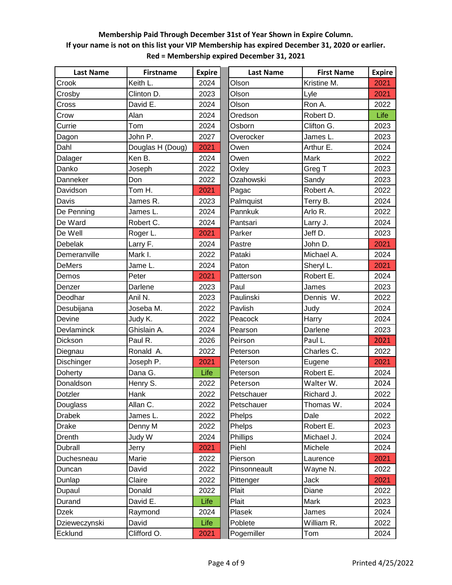| <b>Last Name</b>  | <b>Firstname</b> | <b>Expire</b> | <b>Last Name</b> | <b>First Name</b> | <b>Expire</b> |
|-------------------|------------------|---------------|------------------|-------------------|---------------|
| Crook             | Keith L.         | 2024          | Olson            | Kristine M.       | 2021          |
| Crosby            | Clinton D.       | 2023          | Olson            | Lyle              | 2021          |
| Cross             | David E.         | 2024          | Olson            | Ron A.            | 2022          |
| Crow              | Alan             | 2024          | Oredson          | Robert D.         | Life          |
| Currie            | Tom              | 2024          | Osborn           | Clifton G.        | 2023          |
| Dagon             | John P.          | 2027          | Overocker        | James L.          | 2023          |
| Dahl              | Douglas H (Doug) | 2021          | Owen             | Arthur E.         | 2024          |
| Dalager           | Ken B.           | 2024          | Owen             | Mark              | 2022          |
| Danko             | Joseph           | 2022          | Oxley            | Greg T            | 2023          |
| Danneker          | Don              | 2022          | Ozahowski        | Sandy             | 2023          |
| Davidson          | Tom H.           | 2021          | Pagac            | Robert A.         | 2022          |
| Davis             | James R.         | 2023          | Palmquist        | Terry B.          | 2024          |
| De Penning        | James L.         | 2024          | Pannkuk          | Arlo R.           | 2022          |
| De Ward           | Robert C.        | 2024          | Pantsari         | Larry J.          | 2024          |
| De Well           | Roger L.         | 2021          | Parker           | Jeff D.           | 2023          |
| <b>Debelak</b>    | Larry F.         | 2024          | Pastre           | John D.           | 2021          |
| Demeranville      | Mark I.          | 2022          | Pataki           | Michael A.        | 2024          |
| <b>DeMers</b>     | Jame L.          | 2024          | Paton            | Sheryl L.         | 2021          |
| Demos             | Peter            | 2021          | Patterson        | Robert E.         | 2024          |
| Denzer            | Darlene          | 2023          | Paul             | James             | 2023          |
| Deodhar           | Anil N.          | 2023          | Paulinski        | Dennis W.         | 2022          |
| Desubijana        | Joseba M.        | 2022          | Pavlish          | Judy              | 2024          |
| Devine            | Judy K.          | 2022          | Peacock          | Harry             | 2024          |
| <b>Devlaminck</b> | Ghislain A.      | 2024          | Pearson          | Darlene           | 2023          |
| Dickson           | Paul R.          | 2026          | Peirson          | Paul L.           | 2021          |
| Diegnau           | Ronald A.        | 2022          | Peterson         | Charles C.        | 2022          |
| Dischinger        | Joseph P.        | 2021          | Peterson         | Eugene            | 2021          |
| Doherty           | Dana G.          | Life          | Peterson         | Robert E.         | 2024          |
| Donaldson         | Henry S.         | 2022          | Peterson         | Walter W.         | 2024          |
| Dotzler           | Hank             | 2022          | Petschauer       | Richard J.        | 2022          |
| Douglass          | Allan C.         | 2022          | Petschauer       | Thomas W.         | 2024          |
| <b>Drabek</b>     | James L.         | 2022          | Phelps           | Dale              | 2022          |
| Drake             | Denny M          | 2022          | Phelps           | Robert E.         | 2023          |
| Drenth            | Judy W           | 2024          | <b>Phillips</b>  | Michael J.        | 2024          |
| Dubrall           | Jerry            | 2021          | Piehl            | Michele           | 2024          |
| Duchesneau        | Marie            | 2022          | Pierson          | Laurence          | 2021          |
| Duncan            | David            | 2022          | Pinsonneault     | Wayne N.          | 2022          |
| Dunlap            | Claire           | 2022          | Pittenger        | Jack              | 2021          |
| Dupaul            | Donald           | 2022          | Plait            | Diane             | 2022          |
| Durand            | David E.         | Life          | Plait            | Mark              | 2023          |
| Dzek              | Raymond          | 2024          | Plasek           | James             | 2024          |
| Dzieweczynski     | David            | Life          | Poblete          | William R.        | 2022          |
| Ecklund           | Clifford O.      | 2021          | Pogemiller       | Tom               | 2024          |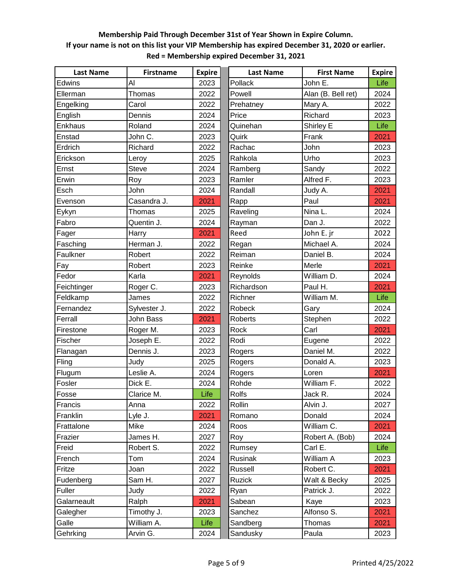| <b>Last Name</b> | <b>Firstname</b> | <b>Expire</b> | <b>Last Name</b> | <b>First Name</b>  | <b>Expire</b> |
|------------------|------------------|---------------|------------------|--------------------|---------------|
| Edwins           | Al               | 2023          | Pollack          | John E.            | Life          |
| Ellerman         | Thomas           | 2022          | Powell           | Alan (B. Bell ret) | 2024          |
| Engelking        | Carol            | 2022          | Prehatney        | Mary A.            | 2022          |
| English          | Dennis           | 2024          | Price            | Richard            | 2023          |
| Enkhaus          | Roland           | 2024          | Quinehan         | Shirley E          | Life          |
| Enstad           | John C.          | 2023          | Quirk            | Frank              | 2021          |
| Erdrich          | Richard          | 2022          | Rachac           | John               | 2023          |
| Erickson         | Leroy            | 2025          | Rahkola          | Urho               | 2023          |
| Ernst            | <b>Steve</b>     | 2024          | Ramberg          | Sandy              | 2022          |
| Erwin            | Roy              | 2023          | Ramler           | Alfred F.          | 2023          |
| Esch             | John             | 2024          | Randall          | Judy A.            | 2021          |
| Evenson          | Casandra J.      | 2021          | Rapp             | Paul               | 2021          |
| Eykyn            | Thomas           | 2025          | Raveling         | Nina L.            | 2024          |
| Fabro            | Quentin J.       | 2024          | Rayman           | Dan J.             | 2022          |
| Fager            | Harry            | 2021          | Reed             | John E. jr         | 2022          |
| Fasching         | Herman J.        | 2022          | Regan            | Michael A.         | 2024          |
| Faulkner         | Robert           | 2022          | Reiman           | Daniel B.          | 2024          |
| Fay              | Robert           | 2023          | Reinke           | Merle              | 2021          |
| Fedor            | Karla            | 2021          | Reynolds         | William D.         | 2024          |
| Feichtinger      | Roger C.         | 2023          | Richardson       | Paul H.            | 2021          |
| Feldkamp         | James            | 2022          | Richner          | William M.         | Life          |
| Fernandez        | Sylvester J.     | 2022          | Robeck           | Gary               | 2024          |
| Ferrall          | John Bass        | 2021          | <b>Roberts</b>   | Stephen            | 2022          |
| Firestone        | Roger M.         | 2023          | Rock             | Carl               | 2021          |
| Fischer          | Joseph E.        | 2022          | Rodi             | Eugene             | 2022          |
| Flanagan         | Dennis J.        | 2023          | Rogers           | Daniel M.          | 2022          |
| Fling            | Judy             | 2025          | Rogers           | Donald A.          | 2023          |
| Flugum           | Leslie A.        | 2024          | Rogers           | Loren              | 2021          |
| Fosler           | Dick E.          | 2024          | Rohde            | William F.         | 2022          |
| Fosse            | Clarice M.       | Life          | Rolfs            | Jack R.            | 2024          |
| Francis          | Anna             | 2022          | Rollin           | Alvin J.           | 2027          |
| Franklin         | Lyle J.          | 2021          | Romano           | Donald             | 2024          |
| Frattalone       | Mike             | 2024          | Roos             | William C.         | 2021          |
| Frazier          | James H.         | 2027          | Roy              | Robert A. (Bob)    | 2024          |
| Freid            | Robert S.        | 2022          | Rumsey           | Carl E.            | Life          |
| French           | Tom              | 2024          | Rusinak          | William A          | 2023          |
| Fritze           | Joan             | 2022          | Russell          | Robert C.          | 2021          |
| Fudenberg        | Sam H.           | 2027          | Ruzick           | Walt & Becky       | 2025          |
| Fuller           | Judy             | 2022          | Ryan             | Patrick J.         | 2022          |
| Galarneault      | Ralph            | 2021          | Sabean           | Kaye               | 2023          |
| Galegher         | Timothy J.       | 2023          | Sanchez          | Alfonso S.         | 2021          |
| Galle            | William A.       | Life          | Sandberg         | Thomas             | 2021          |
| Gehrking         | Arvin G.         | 2024          | Sandusky         | Paula              | 2023          |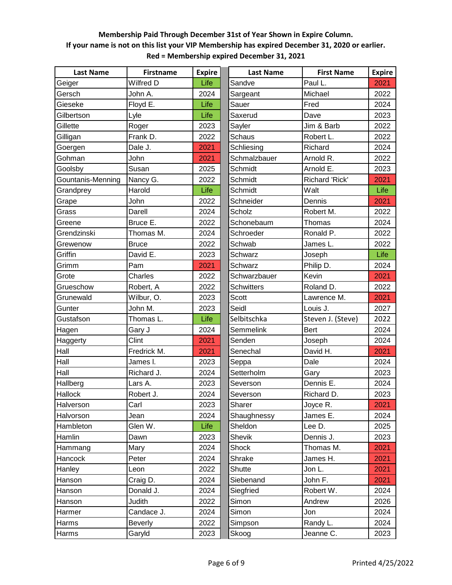| <b>Last Name</b>  | <b>Firstname</b> | <b>Expire</b> | <b>Last Name</b>  | <b>First Name</b> | <b>Expire</b> |
|-------------------|------------------|---------------|-------------------|-------------------|---------------|
| Geiger            | Wilfred D        | Life          | Sandve            | Paul L.           | 2021          |
| Gersch            | John A.          | 2024          | Sargeant          | Michael           | 2022          |
| Gieseke           | Floyd E.         | Life          | Sauer             | Fred              | 2024          |
| Gilbertson        | Lyle             | Life          | Saxerud           | Dave              | 2023          |
| Gillette          | Roger            | 2023          | Sayler            | Jim & Barb        | 2022          |
| Gilligan          | Frank D.         | 2022          | <b>Schaus</b>     | Robert L.         | 2022          |
| Goergen           | Dale J.          | 2021          | Schliesing        | Richard           | 2024          |
| Gohman            | John             | 2021          | Schmalzbauer      | Arnold R.         | 2022          |
| Goolsby           | Susan            | 2025          | Schmidt           | Arnold E.         | 2023          |
| Gountanis-Menning | Nancy G.         | 2022          | Schmidt           | Richard 'Rick'    | 2021          |
| Grandprey         | Harold           | Life          | Schmidt           | Walt              | Life          |
| Grape             | John             | 2022          | Schneider         | Dennis            | 2021          |
| Grass             | Darell           | 2024          | Scholz            | Robert M.         | 2022          |
| Greene            | Bruce E.         | 2022          | Schonebaum        | Thomas            | 2024          |
| Grendzinski       | Thomas M.        | 2024          | Schroeder         | Ronald P.         | 2022          |
| Grewenow          | <b>Bruce</b>     | 2022          | Schwab            | James L.          | 2022          |
| Griffin           | David E.         | 2023          | Schwarz           | Joseph            | Life          |
| Grimm             | Pam              | 2021          | <b>Schwarz</b>    | Philip D.         | 2024          |
| Grote             | Charles          | 2022          | Schwarzbauer      | Kevin             | 2021          |
| Grueschow         | Robert, A        | 2022          | <b>Schwitters</b> | Roland D.         | 2022          |
| Grunewald         | Wilbur, O.       | 2023          | <b>Scott</b>      | Lawrence M.       | 2021          |
| Gunter            | John M.          | 2023          | Seidl             | Louis J.          | 2027          |
| Gustafson         | Thomas L.        | Life          | Selbitschka       | Steven J. (Steve) | 2022          |
| Hagen             | Gary J           | 2024          | <b>Semmelink</b>  | Bert              | 2024          |
| Haggerty          | Clint            | 2021          | Senden            | Joseph            | 2024          |
| Hall              | Fredrick M.      | 2021          | Senechal          | David H.          | 2021          |
| Hall              | James I.         | 2023          | Seppa             | Dale              | 2024          |
| Hall              | Richard J.       | 2024          | Setterholm        | Gary              | 2023          |
| Hallberg          | Lars A.          | 2023          | Severson          | Dennis E.         | 2024          |
| Hallock           | Robert J.        | 2024          | Severson          | Richard D.        | 2023          |
| Halverson         | Carl             | 2023          | Sharer            | Joyce R.          | 2021          |
| Halvorson         | Jean             | 2024          | Shaughnessy       | James E.          | 2024          |
| Hambleton         | Glen W.          | Life          | Sheldon           | Lee D.            | 2025          |
| Hamlin            | Dawn             | 2023          | Shevik            | Dennis J.         | 2023          |
| Hammang           | Mary             | 2024          | <b>Shock</b>      | Thomas M.         | 2021          |
| Hancock           | Peter            | 2024          | Shrake            | James H.          | 2021          |
| Hanley            | Leon             | 2022          | Shutte            | Jon L.            | 2021          |
| Hanson            | Craig D.         | 2024          | Siebenand         | John F.           | 2021          |
| Hanson            | Donald J.        | 2024          | Siegfried         | Robert W.         | 2024          |
| Hanson            | Judith           | 2022          | Simon             | Andrew            | 2026          |
| Harmer            | Candace J.       | 2024          | Simon             | Jon               | 2024          |
| Harms             | <b>Beverly</b>   | 2022          | Simpson           | Randy L.          | 2024          |
| Harms             | Garyld           | 2023          | Skoog             | Jeanne C.         | 2023          |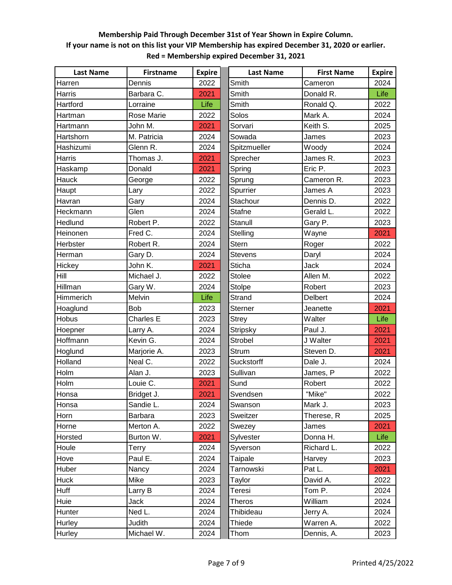| <b>Last Name</b> | <b>Firstname</b> | <b>Expire</b> | <b>Last Name</b> | <b>First Name</b> | <b>Expire</b> |
|------------------|------------------|---------------|------------------|-------------------|---------------|
| Harren           | Dennis           | 2022          | Smith            | Cameron           | 2024          |
| Harris           | Barbara C.       | 2021          | Smith            | Donald R.         | Life          |
| Hartford         | Lorraine         | Life          | Smith            | Ronald Q.         | 2022          |
| Hartman          | Rose Marie       | 2022          | Solos            | Mark A.           | 2024          |
| Hartmann         | John M.          | 2021          | Sorvari          | Keith S.          | 2025          |
| Hartshorn        | M. Patricia      | 2024          | Sowada           | James             | 2023          |
| Hashizumi        | Glenn R.         | 2024          | Spitzmueller     | Woody             | 2024          |
| Harris           | Thomas J.        | 2021          | Sprecher         | James R.          | 2023          |
| Haskamp          | Donald           | 2021          | Spring           | Eric P.           | 2023          |
| Hauck            | George           | 2022          | Sprung           | Cameron R.        | 2023          |
| Haupt            | Lary             | 2022          | Spurrier         | James A           | 2023          |
| Havran           | Gary             | 2024          | Stachour         | Dennis D.         | 2022          |
| Heckmann         | Glen             | 2024          | <b>Stafne</b>    | Gerald L.         | 2022          |
| Hedlund          | Robert P.        | 2022          | Stanull          | Gary P.           | 2023          |
| Heinonen         | Fred C.          | 2024          | Stelling         | Wayne             | 2021          |
| Herbster         | Robert R.        | 2024          | <b>Stern</b>     | Roger             | 2022          |
| Herman           | Gary D.          | 2024          | <b>Stevens</b>   | Daryl             | 2024          |
| Hickey           | John K.          | 2021          | Sticha           | Jack              | 2024          |
| Hill             | Michael J.       | 2022          | Stolee           | Allen M.          | 2022          |
| Hillman          | Gary W.          | 2024          | Stolpe           | Robert            | 2023          |
| Himmerich        | Melvin           | Life          | Strand           | Delbert           | 2024          |
| Hoaglund         | <b>Bob</b>       | 2023          | Sterner          | Jeanette          | 2021          |
| <b>Hobus</b>     | Charles E        | 2023          | <b>Strey</b>     | Walter            | Life          |
| Hoepner          | Larry A.         | 2024          | Stripsky         | Paul J.           | 2021          |
| Hoffmann         | Kevin G.         | 2024          | <b>Strobel</b>   | J Walter          | 2021          |
| Hoglund          | Marjorie A.      | 2023          | <b>Strum</b>     | Steven D.         | 2021          |
| Holland          | Neal C.          | 2022          | Suckstorff       | Dale J.           | 2024          |
| Holm             | Alan J.          | 2023          | Sullivan         | James, P          | 2022          |
| Holm             | Louie C.         | 2021          | Sund             | Robert            | 2022          |
| Honsa            | Bridget J.       | 2021          | Svendsen         | "Mike"            | 2022          |
| Honsa            | Sandie L.        | 2024          | Swanson          | Mark J.           | 2023          |
| Horn             | Barbara          | 2023          | Sweitzer         | Therese, R        | 2025          |
| Horne            | Merton A.        | 2022          | Swezey           | James             | 2021          |
| Horsted          | Burton W.        | 2021          | Sylvester        | Donna H.          | Life          |
| Houle            | Terry            | 2024          | Syverson         | Richard L.        | 2022          |
| Hove             | Paul E.          | 2024          | Taipale          | Harvey            | 2023          |
| Huber            | Nancy            | 2024          | Tarnowski        | Pat L.            | 2021          |
| <b>Huck</b>      | Mike             | 2023          | Taylor           | David A.          | 2022          |
| Huff             | Larry B          | 2024          | Teresi           | Tom P.            | 2024          |
| Huie             | Jack             | 2024          | <b>Theros</b>    | William           | 2024          |
| Hunter           | Ned L.           | 2024          | Thibideau        | Jerry A.          | 2024          |
| Hurley           | Judith           | 2024          | Thiede           | Warren A.         | 2022          |
| Hurley           | Michael W.       | 2024          | Thom             | Dennis, A.        | 2023          |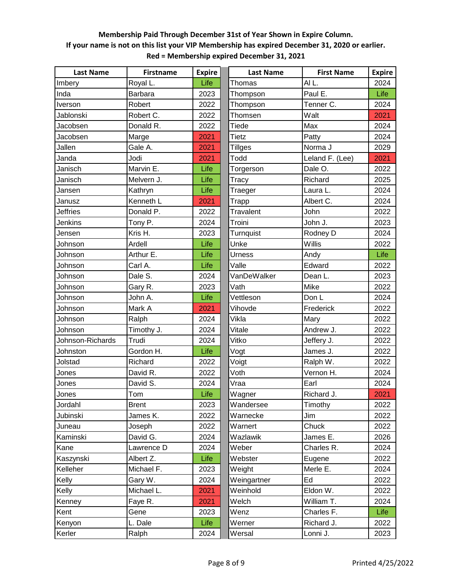| <b>Last Name</b> | <b>Firstname</b> | <b>Expire</b> | <b>Last Name</b> | <b>First Name</b> | <b>Expire</b> |
|------------------|------------------|---------------|------------------|-------------------|---------------|
| Imbery           | Royal L.         | Life          | Thomas           | AIL.              | 2024          |
| Inda             | Barbara          | 2023          | Thompson         | Paul E.           | Life          |
| Iverson          | Robert           | 2022          | Thompson         | Tenner C.         | 2024          |
| Jablonski        | Robert C.        | 2022          | Thomsen          | Walt              | 2021          |
| Jacobsen         | Donald R.        | 2022          | Tiede            | Max               | 2024          |
| Jacobsen         | Marge            | 2021          | Tietz            | Patty             | 2024          |
| Jallen           | Gale A.          | 2021          | Tillges          | Norma J           | 2029          |
| Janda            | Jodi             | 2021          | Todd             | Leland F. (Lee)   | 2021          |
| Janisch          | Marvin E.        | Life          | Torgerson        | Dale O.           | 2022          |
| Janisch          | Melvern J.       | Life          | Tracy            | Richard           | 2025          |
| Jansen           | Kathryn          | Life          | Traeger          | Laura L.          | 2024          |
| Janusz           | Kenneth L        | 2021          | <b>Trapp</b>     | Albert C.         | 2024          |
| <b>Jeffries</b>  | Donald P.        | 2022          | Travalent        | John              | 2022          |
| Jenkins          | Tony P.          | 2024          | Troini           | John J.           | 2023          |
| Jensen           | Kris H.          | 2023          | Turnquist        | Rodney D          | 2024          |
| Johnson          | Ardell           | Life          | Unke             | Willis            | 2022          |
| Johnson          | Arthur E.        | Life          | Urness           | Andy              | Life          |
| Johnson          | Carl A.          | Life          | Valle            | Edward            | 2022          |
| Johnson          | Dale S.          | 2024          | VanDeWalker      | Dean L.           | 2023          |
| Johnson          | Gary R.          | 2023          | Vath             | Mike              | 2022          |
| Johnson          | John A.          | Life          | Vettleson        | Don L             | 2024          |
| Johnson          | Mark A           | 2021          | Vihovde          | Frederick         | 2022          |
| Johnson          | Ralph            | 2024          | Vikla            | Mary              | 2022          |
| Johnson          | Timothy J.       | 2024          | Vitale           | Andrew J.         | 2022          |
| Johnson-Richards | Trudi            | 2024          | Vitko            | Jeffery J.        | 2022          |
| Johnston         | Gordon H.        | Life          | Vogt             | James J.          | 2022          |
| Jolstad          | Richard          | 2022          | Voigt            | Ralph W.          | 2022          |
| Jones            | David R.         | 2022          | Voth             | Vernon H.         | 2024          |
| Jones            | David S.         | 2024          | Vraa             | Earl              | 2024          |
| Jones            | Tom              | Life          | Wagner           | Richard J.        | 2021          |
| Jordahl          | <b>Brent</b>     | 2023          | Wandersee        | Timothy           | 2022          |
| Jubinski         | James K.         | 2022          | Warnecke         | Jim               | 2022          |
| Juneau           | Joseph           | 2022          | Warnert          | Chuck             | 2022          |
| Kaminski         | David G.         | 2024          | Wazlawik         | James E.          | 2026          |
| Kane             | Lawrence D       | 2024          | Weber            | Charles R.        | 2024          |
| Kaszynski        | Albert Z.        | Life          | Webster          | Eugene            | 2022          |
| Kelleher         | Michael F.       | 2023          | Weight           | Merle E.          | 2024          |
| Kelly            | Gary W.          | 2024          | Weingartner      | Ed                | 2022          |
| Kelly            | Michael L.       | 2021          | Weinhold         | Eldon W.          | 2022          |
| Kenney           | Faye R.          | 2021          | Welch            | William T.        | 2024          |
| Kent             | Gene             | 2023          | Wenz             | Charles F.        | Life          |
| Kenyon           | L. Dale          | Life          | Werner           | Richard J.        | 2022          |
| Kerler           | Ralph            | 2024          | Wersal           | Lonni J.          | 2023          |